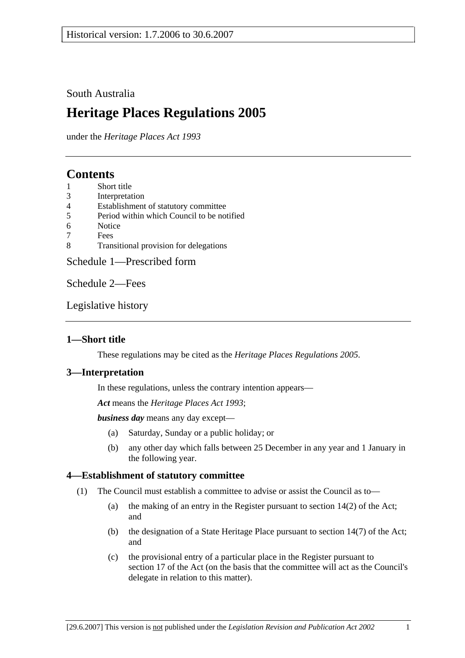## South Australia

# **Heritage Places Regulations 2005**

under the *Heritage Places Act 1993*

## **Contents**

- 1 Short title
- 3 Interpretation
- 4 Establishment of statutory committee
- 5 Period within which Council to be notified
- 6 Notice
- 7 Fees
- 8 Transitional provision for delegations

Schedule 1—Prescribed form

Schedule 2—Fees

Legislative history

### **1—Short title**

These regulations may be cited as the *Heritage Places Regulations 2005*.

### **3—Interpretation**

In these regulations, unless the contrary intention appears—

*Act* means the *Heritage Places Act 1993*;

*business day* means any day except—

- (a) Saturday, Sunday or a public holiday; or
- (b) any other day which falls between 25 December in any year and 1 January in the following year.

### **4—Establishment of statutory committee**

- (1) The Council must establish a committee to advise or assist the Council as to—
	- (a) the making of an entry in the Register pursuant to section 14(2) of the Act; and
	- (b) the designation of a State Heritage Place pursuant to section 14(7) of the Act; and
	- (c) the provisional entry of a particular place in the Register pursuant to section 17 of the Act (on the basis that the committee will act as the Council's delegate in relation to this matter).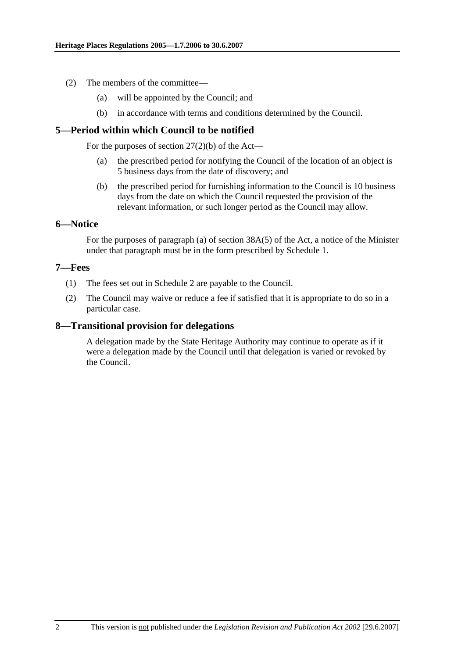- (2) The members of the committee—
	- (a) will be appointed by the Council; and
	- (b) in accordance with terms and conditions determined by the Council.

### **5—Period within which Council to be notified**

For the purposes of section  $27(2)(b)$  of the Act—

- (a) the prescribed period for notifying the Council of the location of an object is 5 business days from the date of discovery; and
- (b) the prescribed period for furnishing information to the Council is 10 business days from the date on which the Council requested the provision of the relevant information, or such longer period as the Council may allow.

### **6—Notice**

For the purposes of paragraph (a) of section 38A(5) of the Act, a notice of the Minister under that paragraph must be in the form prescribed by Schedule 1.

### **7—Fees**

- (1) The fees set out in Schedule 2 are payable to the Council.
- (2) The Council may waive or reduce a fee if satisfied that it is appropriate to do so in a particular case.

### **8—Transitional provision for delegations**

A delegation made by the State Heritage Authority may continue to operate as if it were a delegation made by the Council until that delegation is varied or revoked by the Council.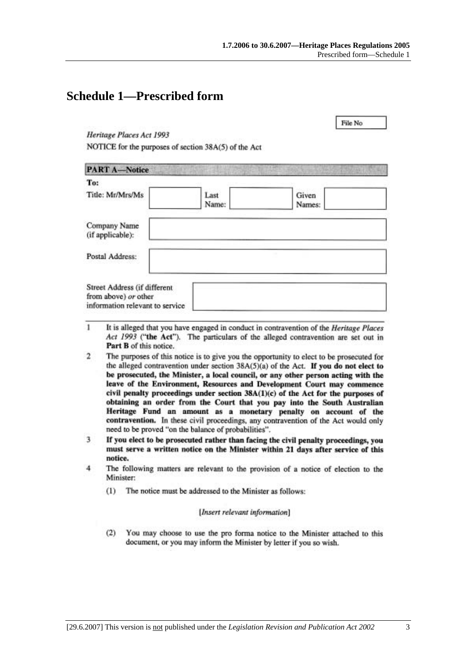File No.

## **Schedule 1—Prescribed form**

Heritage Places Act 1993

NOTICE for the purposes of section 38A(5) of the Act

| <b>PART A-Notice</b>                                                                    |               |                 |
|-----------------------------------------------------------------------------------------|---------------|-----------------|
| To:                                                                                     |               |                 |
| Title: Mr/Mrs/Ms                                                                        | Last<br>Name: | Given<br>Names: |
| Company Name<br>(if applicable):                                                        |               |                 |
| Postal Address:                                                                         |               |                 |
| Street Address (if different<br>from above) or other<br>information relevant to service |               |                 |

- 1 It is alleged that you have engaged in conduct in contravention of the Heritage Places Act 1993 ("the Act"). The particulars of the alleged contravention are set out in Part B of this notice.
- $\overline{2}$ The purposes of this notice is to give you the opportunity to elect to be prosecuted for the alleged contravention under section  $38A(5)(a)$  of the Act. If you do not elect to be prosecuted, the Minister, a local council, or any other person acting with the leave of the Environment, Resources and Development Court may commence civil penalty proceedings under section 38A(1)(c) of the Act for the purposes of obtaining an order from the Court that you pay into the South Australian Heritage Fund an amount as a monetary penalty on account of the contravention. In these civil proceedings, any contravention of the Act would only need to be proved "on the balance of probabilities".
- 3 If you elect to be prosecuted rather than facing the civil penalty proceedings, you must serve a written notice on the Minister within 21 days after service of this notice.
- $\overline{4}$ The following matters are relevant to the provision of a notice of election to the Minister:
	- The notice must be addressed to the Minister as follows:  $(1)$

### [Insert relevant information]

 $(2)$ You may choose to use the pro forma notice to the Minister attached to this document, or you may inform the Minister by letter if you so wish.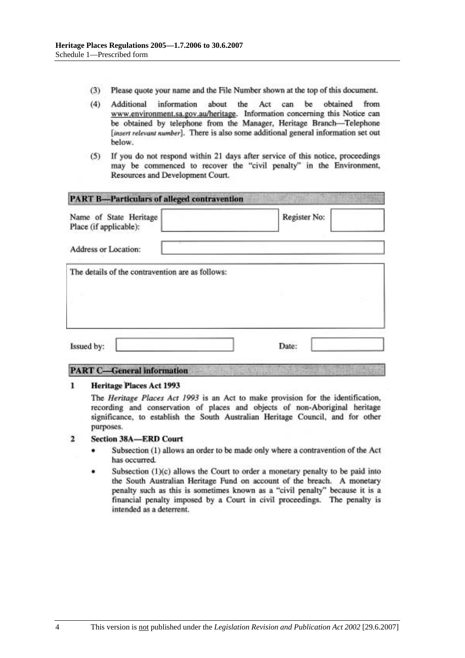- $(3)$ Please quote your name and the File Number shown at the top of this document.
- $(4)$ information about the Act can be obtained from Additional www.environment.sa.gov.au/heritage. Information concerning this Notice can be obtained by telephone from the Manager, Heritage Branch-Telephone [insert relevant number]. There is also some additional general information set out below.
- If you do not respond within 21 days after service of this notice, proceedings  $(5)$ may be commenced to recover the "civil penalty" in the Environment, Resources and Development Court.

| Name of State Heritage<br>Place (if applicable): | Register No: |
|--------------------------------------------------|--------------|
| Address or Location:                             |              |
| The details of the contravention are as follows: |              |
|                                                  |              |
|                                                  |              |
|                                                  |              |

## **PART C-General information**

#### **Heritage Places Act 1993** 1

The Heritage Places Act 1993 is an Act to make provision for the identification, recording and conservation of places and objects of non-Aboriginal heritage significance, to establish the South Australian Heritage Council, and for other purposes.

#### $\overline{2}$ **Section 38A-ERD Court**

- Subsection (1) allows an order to be made only where a contravention of the Act has occurred.
- Subsection (1)(c) allows the Court to order a monetary penalty to be paid into the South Australian Heritage Fund on account of the breach. A monetary penalty such as this is sometimes known as a "civil penalty" because it is a financial penalty imposed by a Court in civil proceedings. The penalty is intended as a deterrent.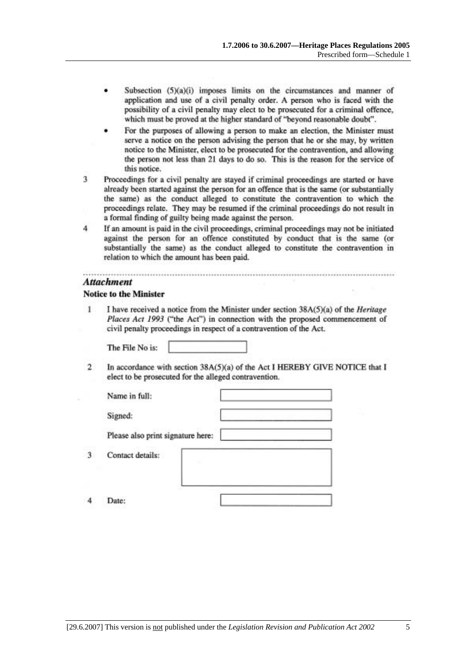- Subsection (5)(a)(i) imposes limits on the circumstances and manner of application and use of a civil penalty order. A person who is faced with the possibility of a civil penalty may elect to be prosecuted for a criminal offence, which must be proved at the higher standard of "beyond reasonable doubt".
- For the purposes of allowing a person to make an election, the Minister must serve a notice on the person advising the person that he or she may, by written notice to the Minister, elect to be prosecuted for the contravention, and allowing the person not less than 21 days to do so. This is the reason for the service of this notice.
- Proceedings for a civil penalty are stayed if criminal proceedings are started or have 3 already been started against the person for an offence that is the same (or substantially the same) as the conduct alleged to constitute the contravention to which the proceedings relate. They may be resumed if the criminal proceedings do not result in a formal finding of guilty being made against the person.
- $\overline{4}$ If an amount is paid in the civil proceedings, criminal proceedings may not be initiated against the person for an offence constituted by conduct that is the same (or substantially the same) as the conduct alleged to constitute the contravention in relation to which the amount has been paid.

### **Attachment**

### **Notice to the Minister**

1 I have received a notice from the Minister under section 38A(5)(a) of the *Heritage* Places Act 1993 ("the Act") in connection with the proposed commencement of civil penalty proceedings in respect of a contravention of the Act.

The File No is:

 $\overline{2}$ In accordance with section 38A(5)(a) of the Act I HEREBY GIVE NOTICE that I elect to be prosecuted for the alleged contravention.

| Name in full:                     |   |
|-----------------------------------|---|
| Signed:                           | ١ |
| Please also print signature here: |   |
| Contact details:                  |   |
|                                   |   |

 $\boldsymbol{A}$ Date:

3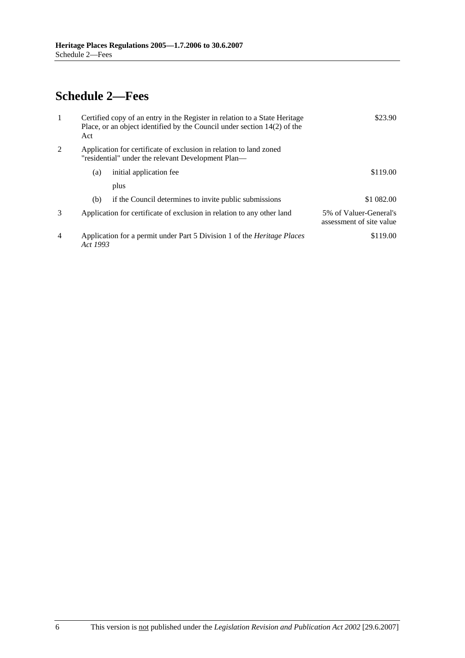# **Schedule 2—Fees**

| 1              | Act      | Certified copy of an entry in the Register in relation to a State Heritage<br>Place, or an object identified by the Council under section $14(2)$ of the | \$23.90                                            |
|----------------|----------|----------------------------------------------------------------------------------------------------------------------------------------------------------|----------------------------------------------------|
| 2              |          | Application for certificate of exclusion in relation to land zoned<br>"residential" under the relevant Development Plan—                                 |                                                    |
|                | (a)      | initial application fee                                                                                                                                  | \$119.00                                           |
|                |          | plus                                                                                                                                                     |                                                    |
|                | (b)      | if the Council determines to invite public submissions                                                                                                   | \$1 082.00                                         |
| $\mathcal{F}$  |          | Application for certificate of exclusion in relation to any other land                                                                                   | 5% of Valuer-General's<br>assessment of site value |
| $\overline{4}$ | Act 1993 | Application for a permit under Part 5 Division 1 of the <i>Heritage Places</i>                                                                           | \$119.00                                           |